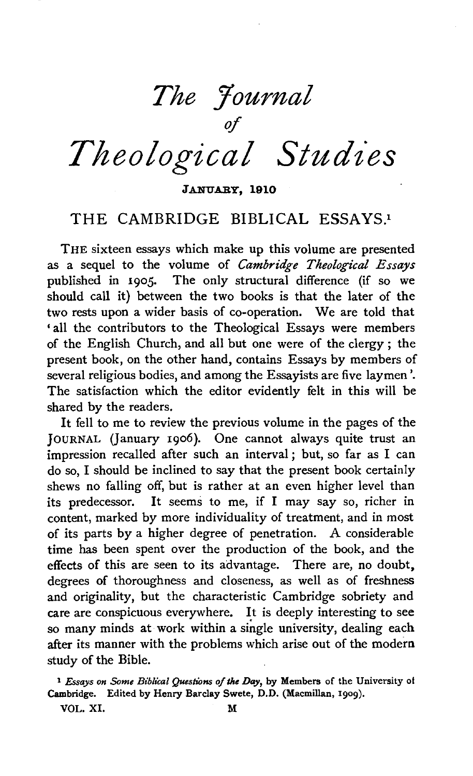*The Journal* 

 $\mathcal{E}$ *Theological Studies* 

#### JANUARY, 1910

## THE CAMBRIDGE BIBLICAL ESSAYS<sup>1</sup>

THE sixteen essays which make up this volume are presented as a sequel to the volume of *Cambridge Theological Essays*  published in 1905. The only structural difference (if so we should call it) between the two books is that the later of the two rests upon a wider basis of co-operation. We are told that 'all the contributors to the Theological Essays were members of the English Church, and all but one were of the clergy ; the present book, on the other hand, contains Essays by members of several religious bodies, and among the Essayists are five laymen'. The satisfaction which the editor evidently felt in this will be shared by the readers.

It fell to me to review the previous volume in the pages of the JOURNAL (January 1906). One cannot always quite trust an impression recalled after such an interval ; but, so far as I can do so, I should be inclined to say that the present book certainly shews no falling off, but is rather at an even higher level than its predecessor. It seems to me, if I may say so, richer in content, marked by more individuality of treatment, and in most of its parts by a higher degree of penetration. A considerable time has been spent over the production of the book, and the effects of this are seen to its advantage. There are, no doubt, degrees of thoroughness and closeness, as well as of freshness and originality, but the characteristic Cambridge sobriety and care are conspicuous everywhere. It is deeply interesting to see so many minds at work within a single university, dealing each after its manner with the problems which arise out of the modern study of the Bible.

VOL.XI. M

<sup>&</sup>lt;sup>1</sup> Essays on Some Biblical Questions of the Day, by Members of the University of Cambridge. Edited by Henry Barclay Swete, D.D. (Macmillan, 1909).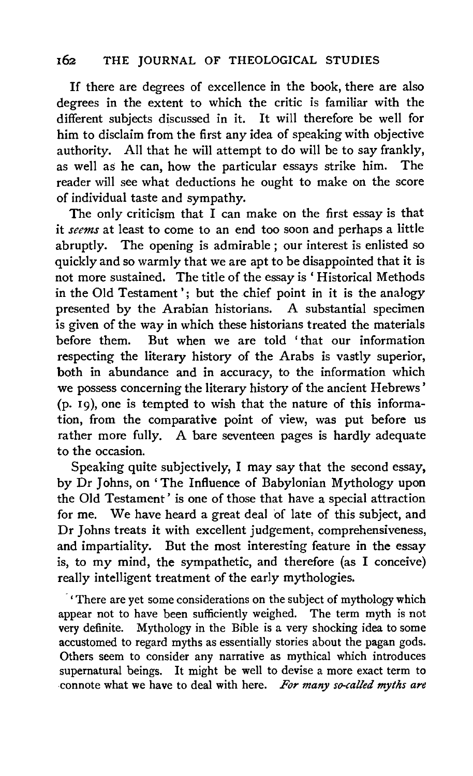If there are degrees of excellence in the book, there are also degrees in the extent to which the critic is familiar with the different subjects discussed in it. It will therefore be well for him to disclaim from the first any idea of speaking with objective authority. All that he will attempt to do will be to say frankly,<br>as well as he can how the particular essays strike him. The as well as he can, how the particular essays strike him. reader will see what deductions he ought to make on the score of individual taste and sympathy.

The only criticism that I can make on the first essay is that it *seems* at least to come to an end too soon and perhaps a little abruptly. The opening is admirable ; our interest is enlisted so quickly and so warmly that we are apt to be disappointed that it is not more sustained. The title of the essay is 'Historical Methods in the Old Testament'; but the chief point in it is the analogy presented by the Arabian historians. A substantial specimen is given of the way in which these historians treated the materials before them. But when we are told ' that our information respecting the literary history of the Arabs is vastly superior, both in abundance and in accuracy, to the information which we possess concerning the literary history of the ancient Hebrews ' (p. 19), one is tempted to wish that the nature of this information, from the comparative point of view, was put before us rather more fully. A bare seventeen pages is hardly adequate to the occasion.

Speaking quite subjectively, I may say that the second essay, by Dr Johns, on 'The Influence of Babylonian Mythology upon the Old Testament' is one of those that have a special attraction for me. We have heard a great deal of late of this subject, and Dr Johns treats it with excellent judgement, comprehensiveness, and impartiality. But the most interesting feature in the essay is, to my mind, the sympathetic, and therefore (as I conceive) really intelligent treatment of the early mythologies.

· 'There are yet some considerations on the subject of mythology which appear not to have been sufficiently weighed. The term myth is not very definite. Mythology in the Bible is a very shocking idea to some accustomed to regard myths as essentially stories about the pagan gods. Others seem to consider any narrative as mythical which introduces supernatural beings. It might be well to devise a more exact term to connote what we have to deal with here. *For many so-called myths are*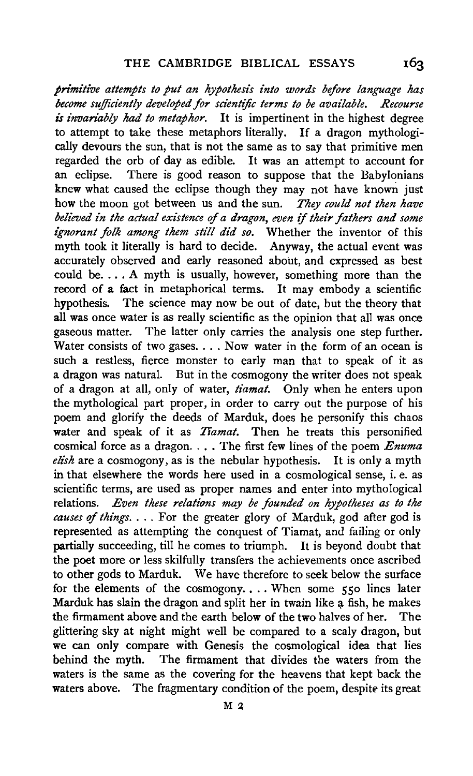*primitive attempts to put an hypothesis into words before language has become sufficiently developed for scientific terms to be available. Recourse* become sufficiently developed for scientific terms to be available. *is invariably had to metaphor.* It is impertinent in the highest degree to attempt to take these metaphors literally. If a dragon mythologically devours the sun, that is not the same as to say that primitive men regarded the orb of day as edible. It was an attempt to account for an eclipse. There is good reason to suppose that the Babylonians There is good reason to suppose that the Babylonians knew what caused the eclipse though they may not have known just how the moon got between us and the sun. *They could not then have believed in the actual existence of a dragon, even if their fathers and some ignorant folk among them still did so.* Whether the inventor of this myth took it literally is hard to decide. Anyway, the actual event was accurately observed and early reasoned about, and expressed as best could be  $\dots$ . A myth is usually, however, something more than the record of a fact in metaphorical terms. It may embody a scientific hypothesis. The science may now be out of date, but the theory that all was once water is as really scientific as the opinion that all was once gaseous matter. The latter only carries the analysis one step further. Water consists of two gases. . . . Now water in the form of an ocean is such a restless, fierce monster to early man that to speak of it as a dragon was natural. But in the cosmogony the writer does not speak of a dragon at all, only of water, *tiamat.* Only when he enters upon the mythological part proper, in order to carry out the purpose of his poem and glorify the deeds of Marduk, does he personify this chaos water and speak of it as *Tiamat.* Then he treats this personified cosmical force as a dragon .... The first few lines of the poem *Enuma eli'sh* are a cosmogony, as is the nebular hypothesis. It is only a myth in that elsewhere the words here used in a cosmological sense, i. e. as scientific terms, are used as proper names and enter into mythological relations. *Even these relations may be founded on hypotheses as to the causes* of *things .* ... For the greater glory of Marduk, god after god is represented as attempting the conquest of Tiamat, and failing or only partially succeeding, till he comes to triumph. It is beyond doubt that the poet more or less skilfully transfers the achievements once ascribed to other gods to Marduk. We have therefore to seek below the surface for the elements of the cosmogony.... When some  $550$  lines later Marduk has slain the dragon and split her in twain like a fish, he makes the firmament above and the earth below of the two halves of her. The glittering sky at night might well be compared to a scaly dragon, but we can only compare with Genesis the cosmological idea that lies behind the myth. The firmament that divides the waters from the waters is the same as the covering for the heavens that kept back the waters above. The fragmentary condition of the poem, despite its great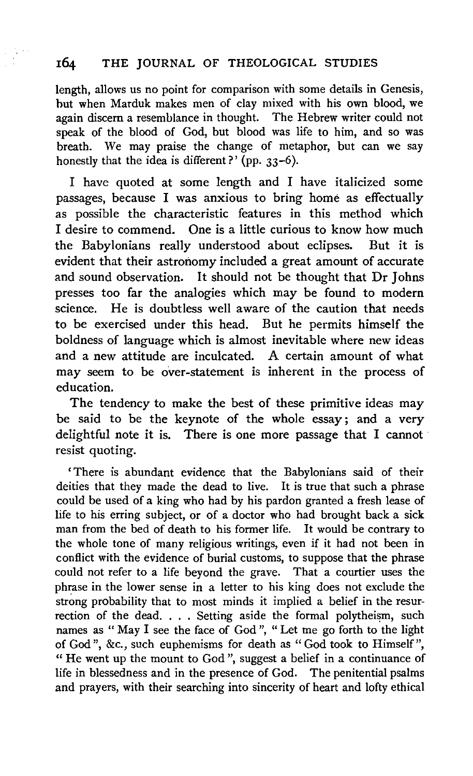length, allows us no point for comparison with some details in Genesis, but when Marduk makes men of clay mixed with his own blood, we again discern a resemblance in thought. The Hebrew writer could not speak of the blood of God, but blood was life to him, and so was breath. We may praise the change of metaphor, but can we say honestly that the idea is different?' (pp.  $33-6$ ).

I have quoted at some length and I have italicized some passages, because I was anxious to bring home as effectually as possible the characteristic features in this method which I desire to commend. One is a little curious to know how much the Babylonians really understood about eclipses. But it is evident that their astronomy included a great amount of accurate and sound observation. It should not be thought that Dr Johns presses too far the analogies which may be found to modern science. He is doubtless well aware of the caution that needs to be exercised under this head. But he permits himself the boldness of language which is almost inevitable where new ideas and a new attitude are inculcated. A certain amount of what may seem to be over-statement is inherent in the process of education.

The tendency to make the best of these primitive ideas may be said to be the keynote of the whole essay; and a very delightful note it is. There is one more passage that I cannot resist quoting.

'There is abundant evidence that the Babylonians said of their deities that they made the dead to live. It is true that such a phrase could be used of a king who had by his pardon granted a fresh lease of life to his erring subject, or of a doctor who had brought back a sick man from the bed of death to his former life. It would be contrary to the whole tone of many religious writings, even if it had not been in conflict with the evidence of burial customs, to suppose that the phrase could not refer to a life beyond the grave. That a courtier uses the phrase in the lower sense in a letter to his king does not exclude the strong probability that to most minds it implied a belief in the resurrection of the dead. . . . Setting aside the formal polytheism, such names as " May I see the face of God", "Let me go forth to the light of God", &c., such euphemisms for death as "God took to Himself", " He went up the mount to God ", suggest a belief in a continuance of life in blessedness and in the presence of God. The penitential psalms and prayers, with their searching into sincerity of heart and lofty ethical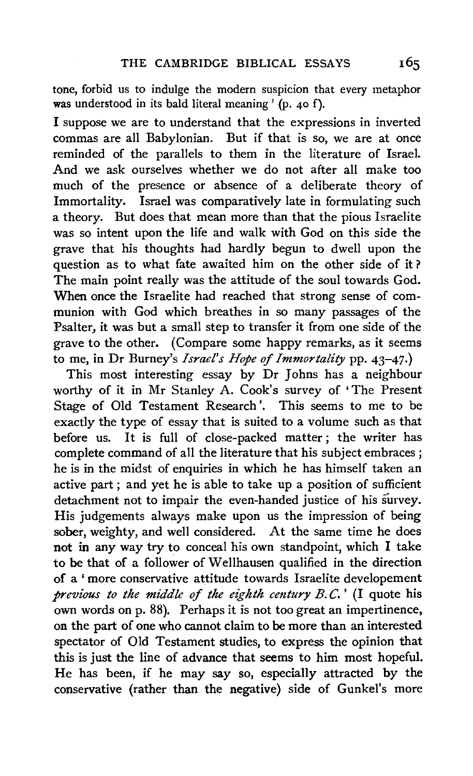tone, forbid us to indulge the modern suspicion that every metaphor was understood in its bald literal meaning ' (p. 40 f).

I suppose we are to understand that the expressions in inverted commas are all Babylonian. But if that is so, we are at once reminded of the parallels to them in the literature of Israel. And we ask ourselves whether we do not after all make too much of the presence or absence of a deliberate theory of Immortality. Israel was comparatively late in formulating such a theory. But does that mean more than that the pious Israelite was so intent upon the life and walk with God on this side the grave that his thoughts had hardly begun to dwell upon the question as to what fate awaited him on the other side of it? The main point really was the attitude of the soul towards God. When once the Israelite had reached that strong sense of communion with God which breathes in so many passages of the Psalter, it was but a small step to transfer it from one side of the grave to the other. (Compare some happy remarks, as it seems to me, in Dr Burney's *Israel's Hope of Immortality* pp. 43-47.)

This most interesting essay by Dr Johns has a neighbour worthy of it in Mr Stanley A. Cook's survey of ' The Present Stage of Old Testament Research'. This seems to me to be exactly the type of essay that is suited to a volume such as that before us. It is full of close-packed matter ; the writer has complete command of all the literature that his subject embraces ; he is in the midst of enquiries in which he has himself taken an active part ; and yet he is able to take up a position of sufficient detachment not to impair the even-handed justice of his survey. His judgements always make upon us the impression of being sober, weighty, and well considered. At the same time he does not in any way try to conceal his own standpoint, which I take to be that of a follower of Wellhausen qualified in the direction of a ' more conservative attitude towards Israelite developement *previous to the middle of the eighth century B. C.* ' (I quote his own words on p. 88). Perhaps it is not too great an impertinence, on the part of one who cannot claim to be more than an interested spectator of Old Testament studies, to express the opinion that this is just the line of advance that seems to him most hopeful. He has been, if he may say so, especially attracted by the conservative (rather than the negative) side of Gunkel's more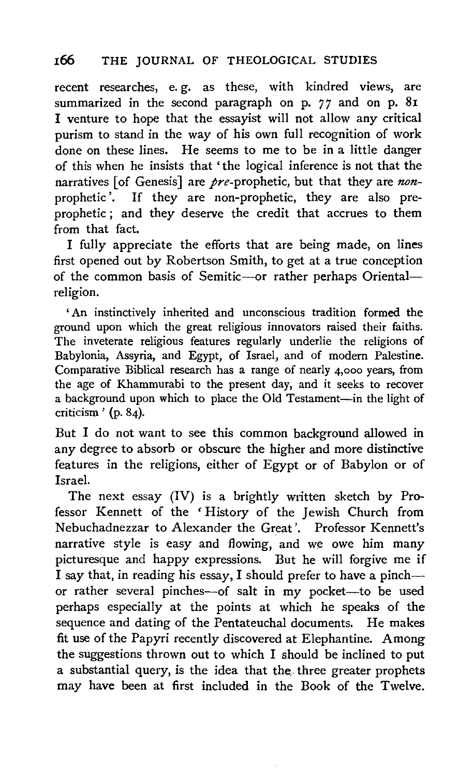recent researches, e. g. as these, with kindred views, are summarized in the second paragraph on p. 77 and on p. 81 I venture to hope that the essayist will not allow any critical purism to stand in the way of his own full recognition of work done on these lines. He seems to me to be in a little danger of this when he insists that 'the logical inference is not that the narratives [of Genesis] are pre-prophetic, but that they are *non*prophetic '. If they are non-prophetic, they are also preprophetic ; and they deserve the credit that accrues to them from that fact.

I fully appreciate the efforts that are being made, on lines first opened out by Robertson Smith, to get at a true conception of the common basis of Semitic---or rather perhaps Oriental-religion.

'An instinctively inherited and unconscious tradition formed the ground upon which the great religious innovators raised their faiths. The inveterate religious features regularly underlie the religions of Babylonia, Assyria, and Egypt, of Israel, and of modern Palestine. Comparative Biblical research has a range of nearly 4,ooo years, from the age of Khammurabi to the present day, and it seeks to recover a background upon which to place the Old Testament-in the light of criticism ' (p. 84).

But I do not want to see this common background allowed in any degree to absorb or obscure the higher and more distinctive features in the religions, either of Egypt or of Babylon or of Israel.

The next essay (IV) is a brightly written sketch by Professor Kennett of the 'History of the Jewish Church from Nebuchadnezzar to Alexander the Great'. Professor Kennett's narrative style is easy and flowing, and we owe him many picturesque and happy expressions. But he will forgive me if I say that, in reading his essay, I should prefer to have a pinchor rather several pinches-of salt in my pocket-to be used perhaps especially at the points at which he speaks of the sequence and dating of the Pentateuchal documents. He makes fit use of the Papyri recently discovered at Elephantine. Among the suggestions thrown out to which I should be inclined to put a substantial query, is the idea that the, three greater prophets may have been at first included in the Book of the Twelve.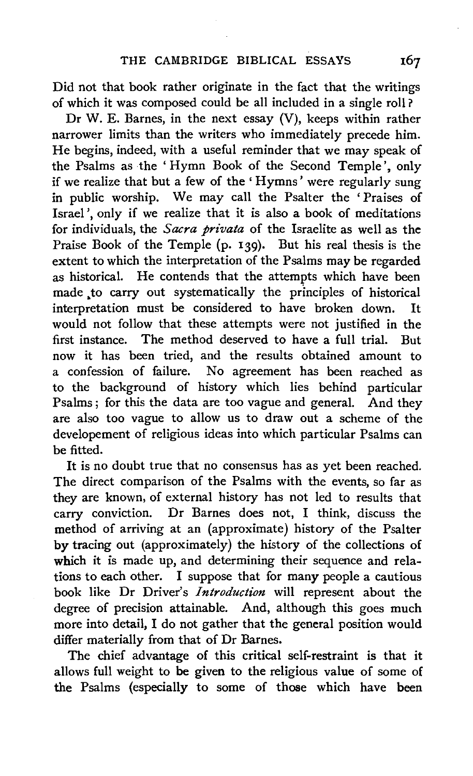Did not that book rather originate in the fact that the writings of which it was composed could be all included in a single roll?

Dr W. E. Barnes, in the next essay (V), keeps within rather narrower limits than the writers who immediately precede him. He begins, indeed, with a useful reminder that we may speak of the Psalms as the 'Hymn Book of the Second Temple', only if we realize that but a few of the 'Hymns' were regularly sung in public worship. We may call the Psalter the ' Praises of Israel', only if we realize that it is also a book of meditations for individuals, the *Sacra privata* of the Israelite as well as the Praise Book of the Temple (p. 139). But his real thesis is the extent to which the interpretation of the Psalms may be regarded as historical. He contends that the attempts which have been made .to carry out systematically the principles of historical interpretation must be considered to have broken down. It would not follow that these attempts were not justified in the first instance. The method deserved to have a full trial. But now it has been tried, and the results obtained amount to a confession of failure. No agreement has been reached as to the background of history which lies behind particular Psalms ; for this the data are too vague and general. And they are also too vague to allow us to draw out a scheme of the developement of religious ideas into which particular Psalms can be fitted.

It is no doubt true that no consensus has as yet been reached. The direct comparison of the Psalms with the events, so far as they are known, of external history has not led to results that carry conviction. Dr Barnes does not, I think, discuss the method of arriving at an (approximate) history of the Psalter by tracing out (approximately) the history of the collections of which it is made up, and determining their sequence and relations to each other. I suppose that for many people a cautious book like Dr Driver's *Introduction* will represent about the degree of precision attainable. And, although this goes much more into detail, I do not gather that the general position would differ materially from that of Dr Barnes.

The chief advantage of this critical self-restraint is that it allows full weight to be given to the religious value of some of the Psalms (especially to some of those which have been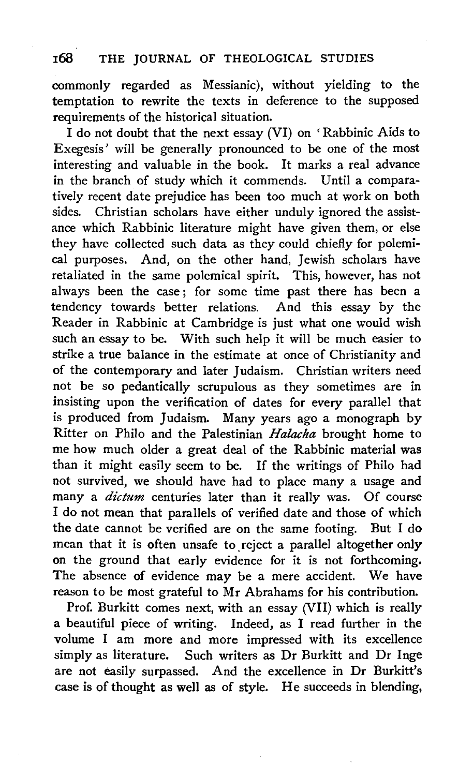commonly regarded as Messianic), without yielding to the temptation to rewrite the texts in deference to the supposed requirements of the historical situation.

I do not doubt that the next essay (VI) on 'Rabbinic Aids to Exegesis' will be generally pronounced to be one of the most interesting and valuable in the book. It marks a real advance in the branch of study which it commends. Until a comparatively recent date prejudice has been too much at work on both sides. Christian scholars have either unduly ignored the assistance which Rabbinic literature might have given them, or else they have collected such data as they could chiefly for polemical purposes. And, on the other hand, Jewish scholars have retaliated in the same polemical spirit. This, however, has not always been the case; for some time past there has been a tendency towards better relations. And this essay by the Reader in Rabbinic at Cambridge is just what one would wish such an essay to be. With such help it will be much easier to strike a true balance in the estimate at once of Christianity and of the contemporary and later Judaism. Christian writers need not be so pedantically scrupulous as they sometimes are in insisting upon the verification of dates for every parallel that is produced from Judaism. Many years ago a monograph by Ritter on Philo and the Palestinian *Halacha* brought home to me how much older a great deal of the Rabbinic material was than it might easily seem to be. If the writings of Philo had not survived, we should have had to place many a usage and many a *dictum* centuries later than it really was. Of course I do not mean that parallels of verified date and those of which the date cannot be verified are on the same footing. But I do mean that it is often unsafe to reject a parallel altogether only on the ground that early evidence for it is not forthcoming. The absence of evidence may be a mere accident. We have reason to be most grateful to Mr Abrahams for his contribution.

Prof. Burkitt comes next, with an essay (VII) which is really a beautiful piece of writing. Indeed, as I read further in the volume I am more and more impressed with its excellence simply as literature. Such writers as Dr Burkitt and Dr Inge are not easily surpassed. And the excellence in Dr Burkitt's case is of thought as well as of style. He succeeds in blending,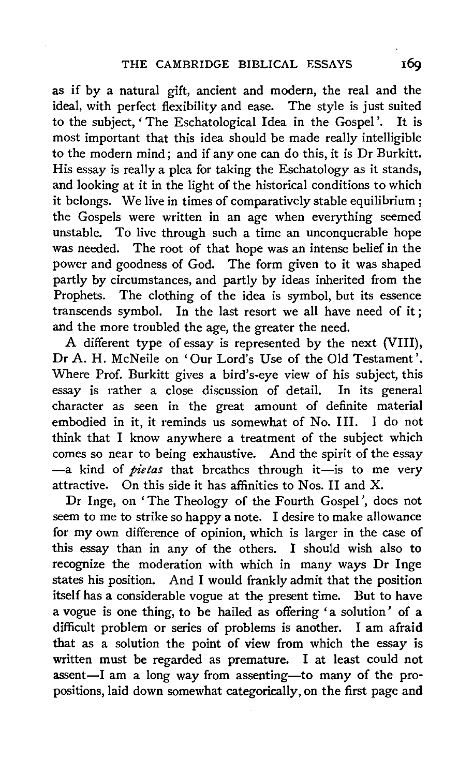as if by a natural gift, ancient and modern, the real and the ideal, with perfect flexibility and ease. The style is just suited to the subject, 'The Eschatological Idea in the Gospel'. It is most important that this idea should be made really intelligible to the modern mind; and if any one can do this, it is Dr Burkitt. His essay is really a plea for taking the Eschatology as it stands, and looking at it in the light of the historical conditions to which it belongs. We live in times of comparatively stable equilibrium; the Gospels were written in an age when everything seemed unstable. To live through such a time an unconquerable hope was needed. The root of that hope was an intense belief in the power and goodness of God. The form given to it was shaped partly by circumstances, and partly by ideas inherited from the Prophets. The clothing of the idea is symbol, but its essence transcends symbol. In the last resort we all have need of it ; and the more troubled the age, the greater the need.

A different type of essay is represented by the next (VIII), Dr A. H. McNeile on 'Our Lord's Use of the Old Testament'. Where Prof. Burkitt gives a bird's-eye view of his subject, this essay is rather a close discussion of detail. In its general character as seen in the great amount of definite material embodied in it, it reminds us somewhat of No. Ill. I do not think that I know anywhere a treatment of the subject which comes so near to being exhaustive. And the spirit of the essay -a kind of *pietas* that breathes through it-is to me very attractive. On this side it has affinities to Nos. II and X.

Dr Inge, on 'The Theology of the Fourth Gospel', does not seem to me to strike so happy a note. I desire to make allowance for my own difference of opinion, which is larger in the case of this essay than in any of the others. I should wish also to recognize the moderation with which in many ways Dr Inge states his position. And I would frankly admit that the position itself has a considerable vogue at the present time. But to have a vogue is one thing, to be hailed as offering 'a solution' of a difficult problem or series of problems is another. I am afraid that as a solution the point of view from which the essay is written must be regarded as premature. I at least could not assent-I am a long way from assenting-to many of the propositions, laid down somewhat categorically, on the first page and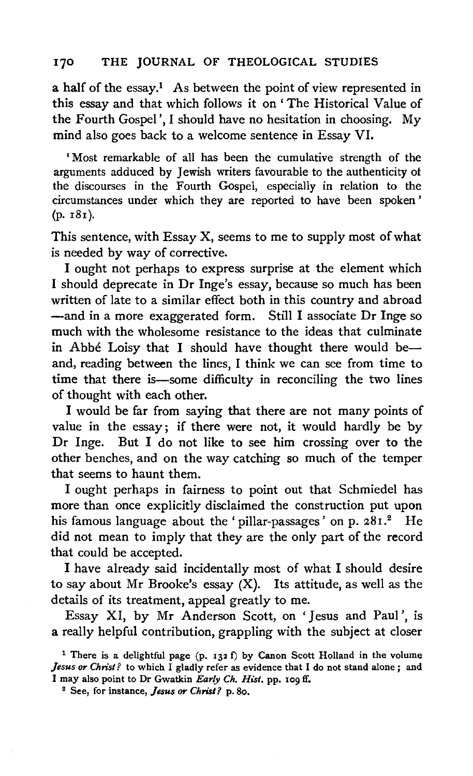a half of the essay.<sup>1</sup> As between the point of view represented in this essay and that which follows it on' The Historical Value of the Fourth Gospel', I should have no hesitation in choosing. My mind also goes back to a welcome sentence in Essay VI.

' Most remarkable of all has been the cumulative strength of the arguments adduced by Jewish writers favourable to the authenticity of the discourses in the Fourth Gospel, especially in relation to the circumstances under which they are reported to have been spoken '  $(p. 181)$ .

This sentence, with Essay X, seems to me to supply most of what is needed by way of corrective.

I ought not perhaps to express surprise at the element which I should deprecate in Dr Inge's essay, because so much has been written of late to a similar effect both in this country and abroad -and in a more exaggerated form. Still I associate Dr Inge so much with the wholesome resistance to the ideas that culminate in Abbé Loisy that I should have thought there would beand, reading between the lines, I think we can see from time to time that there is—some difficulty in reconciling the two lines of thought with each other.

I would be far from saying that there are not many points of value in the essay; if there were not, it would hardly be by Dr Inge. But I do not like to see him crossing over to the other benches, and on the way catching so much of the temper that seems to haunt them.

I ought perhaps in fairness to point out that Schmiedel has more than once explicitly disclaimed the construction put upon his famous language about the 'pillar-passages' on p. 281.<sup>2</sup> He did not mean to imply that they are the only part of the record that could be accepted.

I have already said incidentally most of what I should desire to say about Mr Brooke's essay (X). Its attitude, as well as the details of its treatment, appeal greatly to me.

Essay XI, by Mr Anderson Scott, on 'Jesus and Paul', is a really helpful contribution, grappling with the subject at closer

<sup>&</sup>lt;sup>1</sup> There is a delightful page (p. 132 f) by Canon Scott Holland in the volume *Jesus or Christ?* to which I gladly refer as evidence that I do not stand alone ; and I may also point to Dr Gwatkin *Early Ch. Hist.* pp. 109 ff.

<sup>2</sup> See, for instance, *Jesus or Christ?* p. So.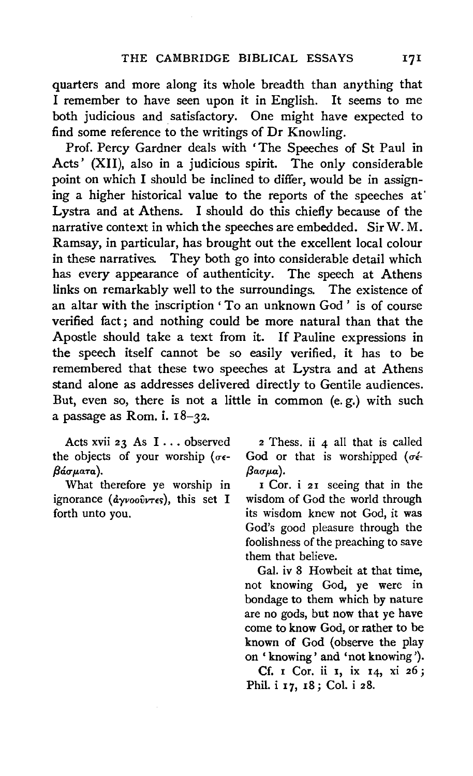quarters and more along its whole breadth than anything that I remember to have seen upon it in English. It seems to me both judicious and satisfactory. One might have expected to find some reference to the writings of Dr Knowling.

Prof. Percy Gardner deals with 'The Speeches of St Paul in Acts' (XII), also in a judicious spirit. The only considerable point on which I should be inclined to differ, would be in assigning a higher historical value to the reports of the speeches at Lystra and at Athens. I should do this chiefly because of the narrative context in which the speeches are embedded. Sir W. M. Ramsay, in particular, has brought out the excellent local colour in these narratives. They both go into considerable detail which has every appearance of authenticity. The speech at Athens links on remarkably well to the surroundings. The existence of an altar with the inscription' To an unknown God' is of course verified fact ; and nothing could be more natural than that the Apostle should take a text from it. If Pauline expressions in the speech itself cannot be so easily verified, it has to be remembered that these two speeches at Lystra and at Athens stand alone as addresses delivered directly to Gentile audiences. But, even so, there is not a little in common (e. g.) with such a passage as Rom. i.  $18-32$ .

Acts xvii 23 As I ... observed the objects of your worship ( $\sigma \epsilon$ *βάσματα*).

What therefore ye worship in ignorance  $(d_y\gamma v_{00}\hat{v}_{\nu\tau\epsilon\varsigma})$ , this set I forth unto you.

2 Thess. ii 4 all that is called God or that is worshipped ( $\sigma \epsilon$ *βασμα***).** 

1 Cor. i 21 seeing that in the wisdom of God the world through its wisdom knew not God, it was God's good pleasure through the foolishness of the preaching to save them that believe.

Gal. iv 8 Howbeit at that time, not knowing God, ye were in bondage to them which by nature are no gods, but now that ye have come to know God, or rather to be known of God (observe the play on 'knowing' and 'not knowing').

Cf. I Cor. ii I, ix 14, xi 26; Phil. i 17, 18; Col. i 28.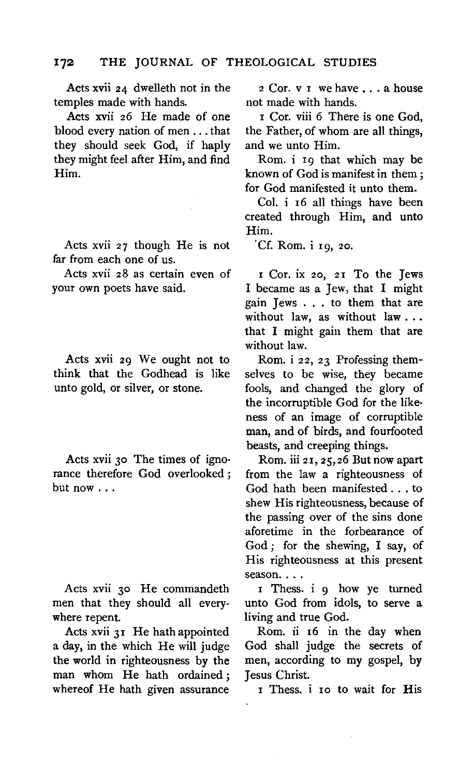Acts xvii 24 dwelleth not in the temples made with hands.

Acts xvii 26 He made of one blood every nation of men ... that they should seek God, if haply they might feel after Him, and find Him.

Acts xvii  $27$  though He is not far from each one of us.

Acts xvii 28 as certain even of your own poets have said.

Acts xvii 29 We ought not to think that the Godhead is like unto gold, or silver, or stone.

Acts xvii 30 The times of ignorance therefore God overlooked ; but now ...

Acts xvii 30 He commandeth men that they should all everywhere repent.

Acts xvii 31 He hath appointed a day, in the which He will judge the world in righteousness by the man whom He hath ordained ; whereof He bath given assurance

 $2$  Cor.  $v$  I we have  $\ldots$  a house not made with hands.

I Cor. viii 6 There is one God, the Father, of whom are all things, and we unto Him.

Rom. i 19 that which may be known of God is manifest in them ; for God manifested it unto them.

Col. i 16 all things have been created through Him, and unto Him.

·Cf. Rom. i I 9, 20.

I Cor. ix 20, 2I To the Jews I became as a Jew, that I might gain Jews . . . to them that are without law, as without law ... that I might gain them that are without law.

Rom. i 22, 23 Professing themselves to be wise, they became fools, and changed the glory of the incorruptible God for the likeness of an image of corruptible man, and of birds, and fourfooted beasts, and creeping things.

Rom. iii 21, 25, 26 But now apart from the law a righteousness of God bath been manifested ... to shew His righteousness, because of the passing over of the sins done aforetime in the forbearance of God ; for the shewing, I say, of His righteousness at this present season...

I Thess. i 9 how ye turned unto God from idols, to serve a living and true God.

Rom. ii I6 in the day when God shall judge the secrets of men, according to my gospel, by Jesus Christ.

I Thess. i Io to wait for His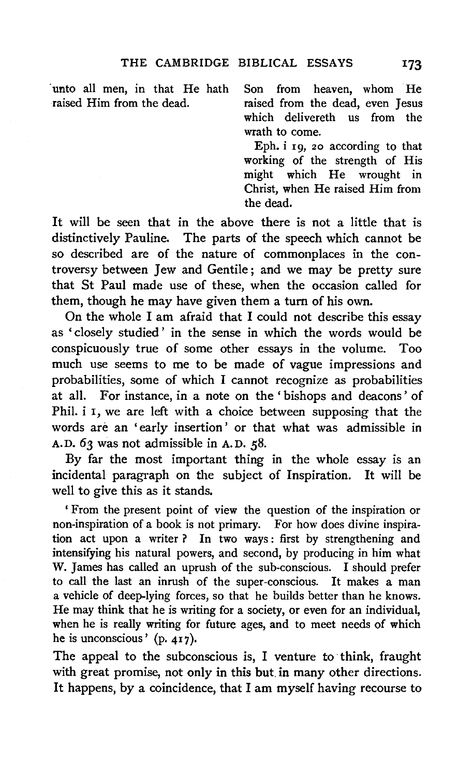unto all men, in that He hath raised Him from the dead.

Son from heaven, whom He raised from the dead, even Jesus which delivereth us from the wrath to come.

Eph. i 19, 20 according to that working of the strength of His might which He wrought in Christ, when He raised Him from the dead.

It will be seen that in the above there is not a little that is distinctively Pauline. The parts of the speech which cannot be so described are of the nature of commonplaces in the controversy between Jew and Gentile ; and we may be pretty sure that St Paul made use of these, when the occasion called for them, though he may have given them a turn of his own.

On the whole I am afraid that I could not describe this essay as 'closely studied' in the sense in which the words would be conspicuously true of some other essays in the volume. Too much use seems to me to be made of vague impressions and probabilities, some of which I cannot recognize as probabilities at all. For instance, in a note on the' bishops and deacons' of Phil. i I, we are left with a choice between supposing that the words are an 'early insertion' or that what was admissible in A. D. 63 was not admissible in A. D. *58.* 

By far the most important thing in the whole essay is an incidental paragraph on the subject of Inspiration. It will be well to give this as it stands.

'From the present point of view the question of the inspiration or non-inspiration of a book is not primary. For how does divine inspiration act upon a writer ? In two ways: first by strengthening and intensifying his natural powers, and second, by producing in him what W. James has called an uprush of the sub-conscious. I should prefer to call the last an inrush of the super-conscious. It makes a man a vehicle of deep-lying forces, so that he builds better than he knows. He may think that he is writing for a society, or even for an individual, when he is really writing for future ages, and to meet needs of which he is unconscious' (p. 417).

The appeal to the subconscious is, I venture to think, fraught with great promise, not only in this but in many other directions. It happens, by a coincidence, that I am myself having recourse to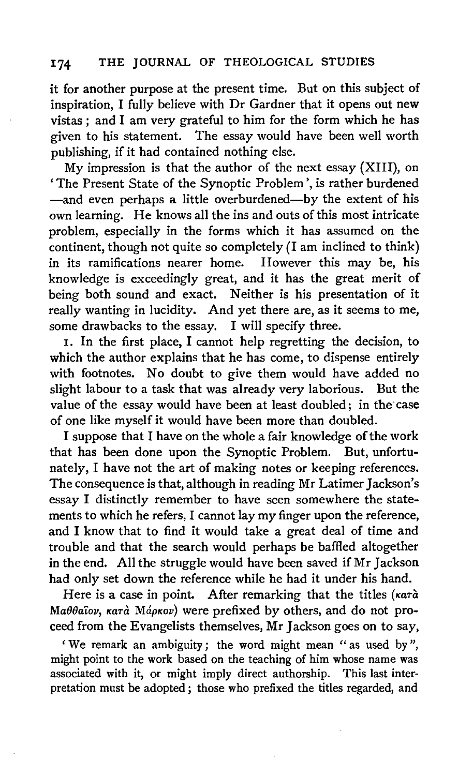it for another purpose at the present time. But on this subject of inspiration, I fully believe with Dr Gardner that it opens out new vistas ; and I am very grateful to him for the form which he has given to his statement. The essay would have been well worth publishing, if it had contained nothing else.

My impression is that the author of the next essay (XIII), on 'The Present State of the Synoptic Problem', is rather burdened -and even perhaps a little overburdened-by the extent of his own learning. He knows all the ins and outs of this most intricate problem, especially in the forms which it has assumed on the continent, though not quite so completely (I am inclined to think) in its ramifications nearer home. However this may be, his knowledge is exceedingly great, and it has the great merit of being both sound and exact. Neither is his presentation of it really wanting in lucidity. And yet there are, as it seems to me, some drawbacks to the essay. I will specify three.

I. In the first place, I cannot help regretting the decision, to which the author explains that he has come, to dispense entirely with footnotes. No doubt to give them would have added no slight labour to a task that was already very laborious. But the value of the essay would have been at least doubled; in the case of one like myself it would have been more than doubled.

I suppose that I have on the whole a fair knowledge of the work that has been done upon the Synoptic Problem. But, unfortunately, I have not the art of making notes or keeping references. The consequence is that, although in reading Mr Latimer Jackson's essay I distinctly remember to have seen somewhere the statements to which he refers, I cannot lay my finger upon the reference, and I know that to find it would take a great deal of time and trouble and that the search would perhaps be baffled altogether in the end. All the struggle would have been saved if Mr Jackson had only set down the reference while he had it under his hand.

Here is a case in point. After remarking that the titles *(Kara Ma88a'i:ov, Kara MapKov)* were prefixed by others, and do not proceed from the Evangelists themselves, Mr Jackson goes on to say,

'We remark an ambiguity; the word might mean "as used by", might point to the work based on the teaching of him whose name was associated with it, or might imply direct authorship. This last interpretation must be adopted; those who prefixed the titles regarded, and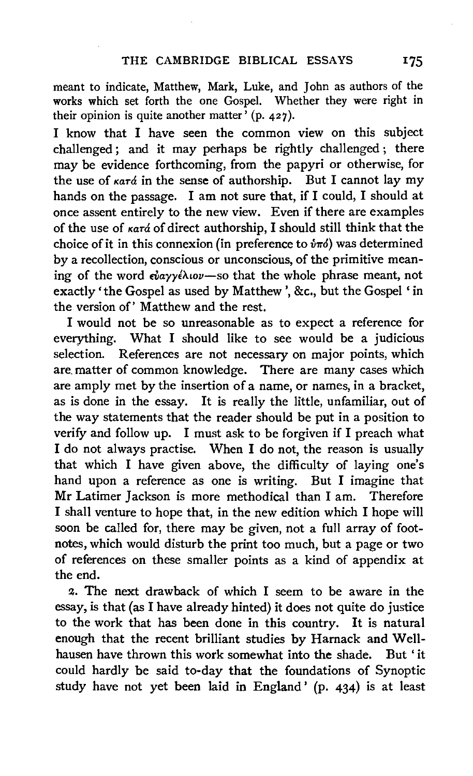meant to indicate, Matthew, Mark, Luke, and John as authors of the works which set forth the one Gospel. Whether they were right in their opinion is quite another matter'  $(p. 427)$ .

I know that I have seen the common view on this subject challenged; and it may perhaps be rightly challenged; there may be evidence forthcoming, from the papyri or otherwise, for the use of  $\kappa$ ar*á* in the sense of authorship. But I cannot lay my hands on the passage. I am not sure that, if I could, I should at once assent entirely to the new view. Even if there are examples of the use of  $\kappa a\tau d$  of direct authorship, I should still think that the choice of it in this connexion (in preference to  $\delta\pi\delta$ ) was determined by a recollection, conscious or unconscious, of the primitive meaning of the word *diayyeA.wv-so* that the whole phrase meant, not exactly 'the Gospel as used by Matthew ', &c., but the Gospel ' in the version of' Matthew and the rest.

I would not be so unreasonable as to expect a reference for everything. What I should like to see would be a judicious selection. References are not necessary on major points, which are. matter of common knowledge. There are many cases which are amply met by the insertion of a name, or names, in a bracket, as is done in the essay. It is really the little, unfamiliar, out of the way statements that the reader should be put in a position to verify and follow up. I must ask to be forgiven if I preach what I do not always practise. When I do not, the reason is usually that which I have given above, the difficulty of laying one's hand upon a reference as one is writing. But I imagine that Mr Latimer Jackson is more methodical than I am. Therefore I shall venture to hope that, in the new edition which I hope will soon be called for, there may be given, not a full array of footnotes, which would disturb the print too much, but a page or two of references on these smaller points as a kind of appendix at the end.

*z.* The next drawback of which I seem to be aware in the essay, is that (as I have already hinted) it does not quite do justice to the work that has been done in this country. It is natural enough that the recent brilliant studies by Harnack and Wellhausen have thrown this work somewhat into the shade. But ' it could hardly be said to-day that the foundations of Synoptic study have not yet been laid in England' (p. 434) is at least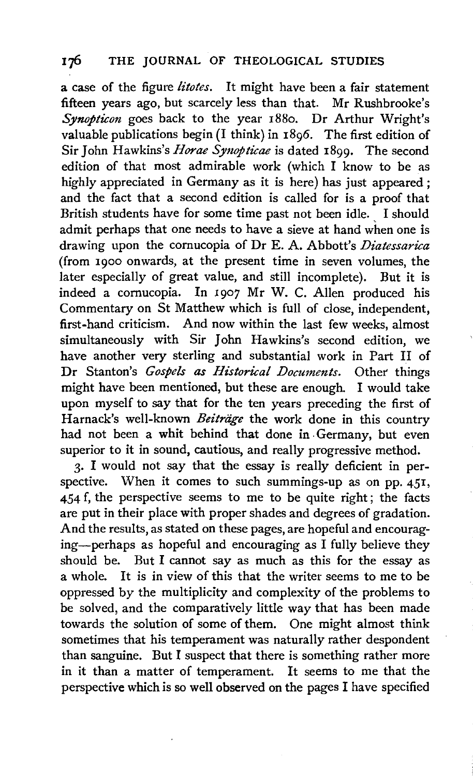a case of the figure *litotes.* It might have been a fair statement fifteen years ago, but scarcely less than that. Mr Rushbrooke's *Synopticon* goes back to the year r88o. Dr Arthur Wright's valuable publications begin (I think) in r8g6. The first edition of Sir John Hawkins's *Horae Synopticae* is dated 1899. The second edition of that most admirable work (which I know to be as highly appreciated in Germany as it is here) has just appeared; and the fact that a second edition is called for is a proof that British students have for some time past not been idle. I should admit perhaps that one needs to have a sieve at hand when one is drawing upon the cornucopia of Dr E. A. Abbott's *Diatessarica*  (from rgoo onwards, at the present time in seven volumes, the later especially of great value, and still incomplete). But it is indeed a cornucopia. In 1907 Mr W. C. Alien produced his Commentary on St Matthew which is full of close, independent, first-hand criticism. And now within the last few weeks, almost simultaneously with Sir John Hawkins's second edition, we have another very sterling and substantial work in Part II of Dr Stanton's *Gospels as Historical Documents.* Other things might have been mentioned, but these are enough. I would take upon myself to say that for the ten years preceding the first of Harnack's well-known *Beiträge* the work done in this country had not been a whit behind that done in . Germany, but even superior to it in sound, cautious, and really progressive method.

3· I would not say that the essay is really deficient in perspective. When it comes to such summings-up as on pp. 451, *454* f, the perspective seems to me to be quite right; the facts are put in their place with proper shades and degrees of gradation. And the results, as stated on these pages, are hopeful and encouraging-perhaps as hopeful and encouraging as I fully believe they should be. But I cannot say as much as this for the essay as a whole. It is in view of this that the writer seems to me to be oppressed by the multiplicity and complexity of the problems to be solved, and the comparatively little way that has been made towards the solution of some of them. One might almost think sometimes that his temperament was naturally rather despondent than sanguine. But I suspect that there is something rather more in it than a matter of temperament. It seems to me that the perspective which is so well observed on the pages I have specified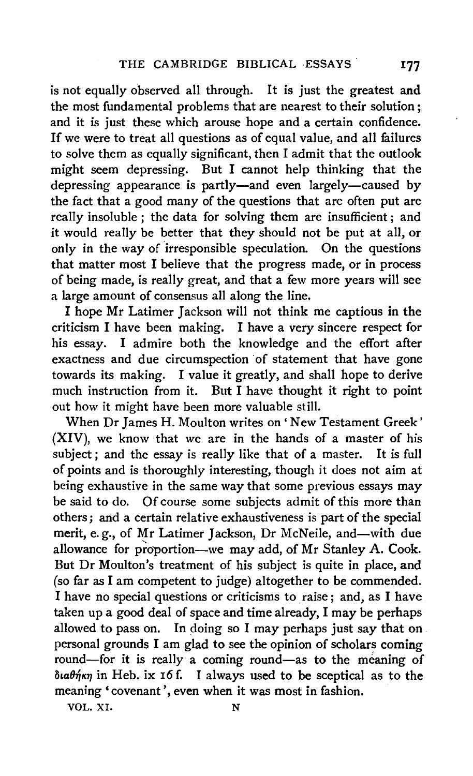is not equally observed all through. It is just the greatest and the most fundamental problems that are nearest to their solution; and it is just these which arouse hope and a certain confidence. If we were to treat all questions as of equal value, and all failures to solve them as equally significant, then I admit that the outlook might seem depressing. But I cannot help thinking that the depressing appearance is partly-and even largely-caused by the fact that a good many of the questions that are often put are really insoluble; the data for solving them are insufficient; and it would really be better that they should not be put at all, or only in the way of irresponsible speculation. On the questions that matter most I believe that the progress made, or in process of being made, is really great, and that a few more years will see a large amount of consensus all along the line.

I hope Mr Latimer Jackson will not think me captious in the criticism I have been making. I have a very sincere respect for his essay. I admire both the knowledge and the effort after exactness and due circumspection of statement that have gone towards its making. I value it greatly, and shall hope to derive much instruction from it. But I have thought it right to point out how it might have been more valuable still.

When Dr James H. Moulton writes on 'New Testament Greek' (XIV), we know that we are in the hands of a master of his subject; and the essay is really like that of a master. It is full of points and is thoroughly interesting, though it does not aim at being exhaustive in the same way that some previous essays may be said to do. Of course some subjects admit of this more than others; and a certain relative exhaustiveness is part of the special merit, e.g., of Mr Latimer Jackson, Dr McNeile, and-with due allowance for proportion-we may add, of Mr Stanley A. Cook. But Dr Moulton's treatment of his subject is quite in place, and (so far as I am competent to judge) altogether to be commended. I have no special questions or criticisms to raise; and, as I have taken up a good deal of space and time already, I may be perhaps allowed to pass on. In doing so I may perhaps just say that on personal grounds I am glad to see the opinion of scholars coming round-for it is really a coming round-as to the meaning of  $\delta$ ia $\theta$ ήκη in Heb. ix 16 f. I always used to be sceptical as to the meaning 'covenant ', even when it was most in fashion.

VOL.XI. N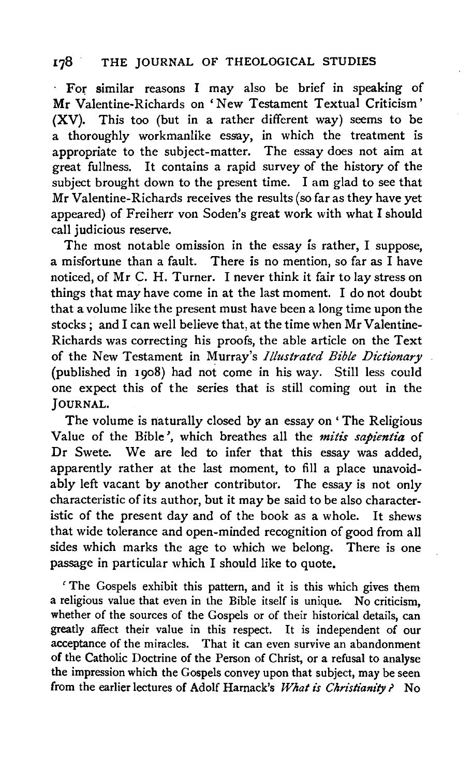· For similar reasons I may also be brief in speaking of Mr Valentine-Richards on 'New Testament Textual Criticism' (XV). This too (but in a rather different way) seems to be a thoroughly workmanlike essay, in which the treatment is appropriate to the subject-matter. The essay does not aim at great fullness. It contains a rapid survey of the history of the subject brought down to the present time. I am glad to see that Mr Valentine-Richards receives the results (so far as they have yet appeared) of Freiherr von Soden's great work with what I should call judicious reserve.

The most notable omission in the essay is rather, I suppose, a misfortune than a fault. There is no mention, so far as I have noticed, of Mr C. H. Turner. I never think it fair to lay stress on things that may have come in at the last moment. I do not doubt that a volume like the present must have been a long time upon the stocks; and I can well believe that, at the time when Mr Valentine-Richards was correcting his proofs, the able article on the Text of the New Testament in Murray's *Illustrated Bible Dictionary*  (published in 19o8) had not come in his way. Still less could one expect this of the series that is still coming out in the JOURNAL.

The volume is naturally closed by an essay on ' The Religious Value of the Bible', which breathes all the *mitis sapientia* of Dr Swete. We are led to infer that this essay was added, apparently rather at the last moment, to fill a place unavoidably left vacant by another contributor. The essay is not only characteristic of its author, but it may be said to be also characteristic of the present day and of the book as a whole. It shews that wide tolerance and open-minded recognition of good from all sides which marks the age to which we belong. There is one passage in particular which I should like to quote.

' The Gospels exhibit this pattern, and it is this which gives them a religious value that even in the Bible itself is unique. No criticism, whether of the sources of the Gospels or of their historical details, can greatly affect their value in this respect. It is independent of our acceptance of the miracles. That it can even survive an abandonment of the Catholic Doctrine of the Person of Christ, or a refusal to analyse the impression which the Gospels convey upon that subject, may be seen from the earlier lectures of Adolf Harnack's *What is Christianity*  $\lambda$  No